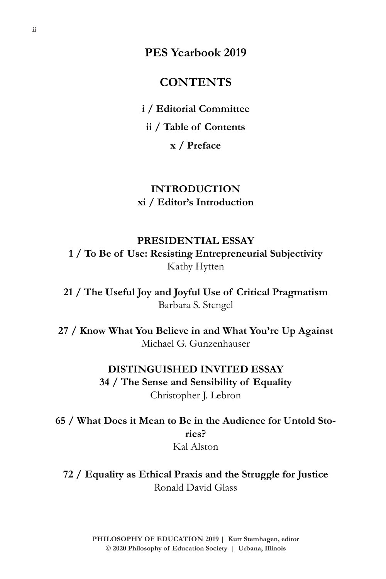**PES Yearbook 2019**

### **CONTENTS**

**i / Editorial Committee**

**ii / Table of Contents**

**x / Preface**

### **INTRODUCTION xi / Editor's Introduction**

**PRESIDENTIAL ESSAY 1 / To Be of Use: Resisting Entrepreneurial Subjectivity**  Kathy Hytten

**21 / The Useful Joy and Joyful Use of Critical Pragmatism** Barbara S. Stengel

**27 / Know What You Believe in and What You're Up Against** Michael G. Gunzenhauser

### **DISTINGUISHED INVITED ESSAY 34 / The Sense and Sensibility of Equality**  Christopher J. Lebron

**65 / What Does it Mean to Be in the Audience for Untold Stories?** Kal Alston

**72 / Equality as Ethical Praxis and the Struggle for Justice** Ronald David Glass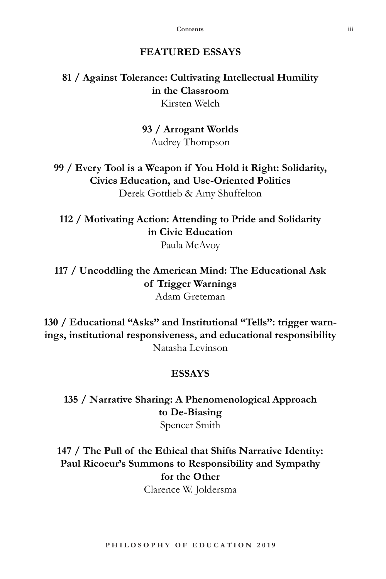### **ESSAYS**

**135 / Narrative Sharing: A Phenomenological Approach to De-Biasing**

Spencer Smith

**147 / The Pull of the Ethical that Shifts Narrative Identity: Paul Ricoeur's Summons to Responsibility and Sympathy for the Other** Clarence W. Joldersma

**P H I L O S O P H Y O F E D U C A T I O N 2 0 1 9**

# **FEATURED ESSAYS**

**81 / Against Tolerance: Cultivating Intellectual Humility in the Classroom** Kirsten Welch

**93 / Arrogant Worlds**

Audrey Thompson

**99 / Every Tool is a Weapon if You Hold it Right: Solidarity, Civics Education, and Use-Oriented Politics**  Derek Gottlieb & Amy Shuffelton

**112 / Motivating Action: Attending to Pride and Solidarity in Civic Education**

Paula McAvoy

**117 / Uncoddling the American Mind: The Educational Ask of Trigger Warnings** Adam Greteman

**130 / Educational "Asks" and Institutional "Tells": trigger warnings, institutional responsiveness, and educational responsibility** Natasha Levinson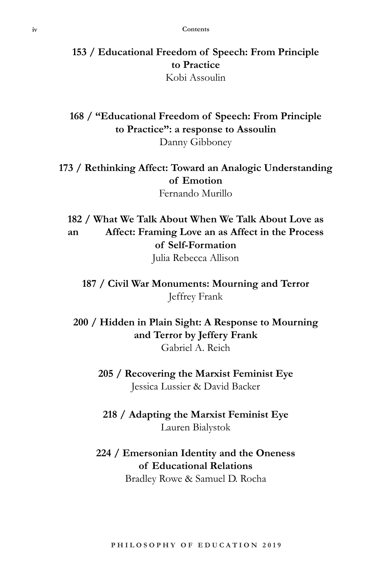**153 / Educational Freedom of Speech: From Principle to Practice** Kobi Assoulin

**168 / "Educational Freedom of Speech: From Principle to Practice": a response to Assoulin** Danny Gibboney

**173 / Rethinking Affect: Toward an Analogic Understanding of Emotion**

Fernando Murillo

**182 / What We Talk About When We Talk About Love as an Affect: Framing Love an as Affect in the Process of Self-Formation**

Julia Rebecca Allison

**187 / Civil War Monuments: Mourning and Terror** Jeffrey Frank

**200 / Hidden in Plain Sight: A Response to Mourning and Terror by Jeffery Frank** Gabriel A. Reich

**205 / Recovering the Marxist Feminist Eye** Jessica Lussier & David Backer

**218 / Adapting the Marxist Feminist Eye** Lauren Bialystok

### **224 / Emersonian Identity and the Oneness of Educational Relations**

Bradley Rowe & Samuel D. Rocha

**P H I L O S O P H Y O F E D U C A T I O N 2 0 1 9**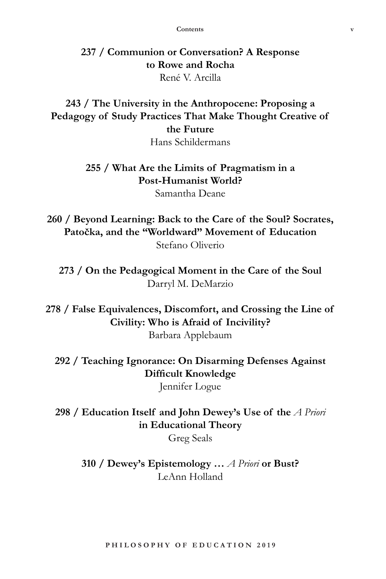**237 / Communion or Conversation? A Response to Rowe and Rocha** René V. Arcilla

## **243 / The University in the Anthropocene: Proposing a Pedagogy of Study Practices That Make Thought Creative of the Future**

Hans Schildermans

### **255 / What Are the Limits of Pragmatism in a Post-Humanist World?**

Samantha Deane

**260 / Beyond Learning: Back to the Care of the Soul? Socrates, Patočka, and the "Worldward" Movement of Education** Stefano Oliverio

**273 / On the Pedagogical Moment in the Care of the Soul** Darryl M. DeMarzio

**278 / False Equivalences, Discomfort, and Crossing the Line of Civility: Who is Afraid of Incivility?** Barbara Applebaum

**292 / Teaching Ignorance: On Disarming Defenses Against Difficult Knowledge**

Jennifer Logue

**298 / Education Itself and John Dewey's Use of the** *A Priori*  **in Educational Theory**

Greg Seals

**310 / Dewey's Epistemology …** *A Priori* **or Bust?** LeAnn Holland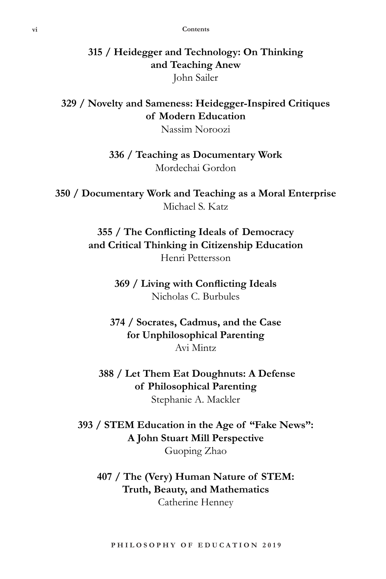### **315 / Heidegger and Technology: On Thinking and Teaching Anew** John Sailer

### **329 / Novelty and Sameness: Heidegger-Inspired Critiques of Modern Education**

Nassim Noroozi

**336 / Teaching as Documentary Work** Mordechai Gordon

**350 / Documentary Work and Teaching as a Moral Enterprise** Michael S. Katz

> **355 / The Conflicting Ideals of Democracy and Critical Thinking in Citizenship Education** Henri Pettersson

> > **369 / Living with Conflicting Ideals** Nicholas C. Burbules

**374 / Socrates, Cadmus, and the Case for Unphilosophical Parenting** Avi Mintz

 **388 / Let Them Eat Doughnuts: A Defense of Philosophical Parenting** Stephanie A. Mackler

**393 / STEM Education in the Age of "Fake News": A John Stuart Mill Perspective** Guoping Zhao

**407 / The (Very) Human Nature of STEM: Truth, Beauty, and Mathematics** Catherine Henney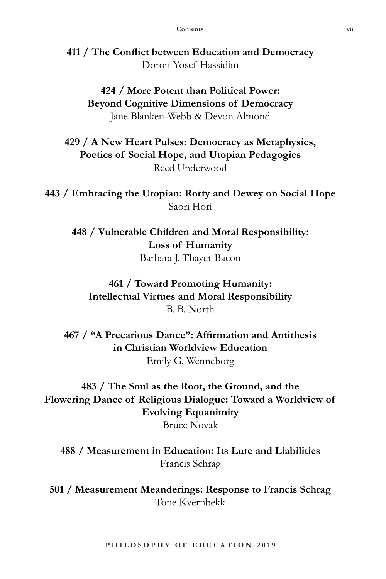**411 / The Conflict between Education and Democracy** Doron Yosef-Hassidim

**424 / More Potent than Political Power: Beyond Cognitive Dimensions of Democracy** Jane Blanken-Webb & Devon Almond

**429 / A New Heart Pulses: Democracy as Metaphysics, Poetics of Social Hope, and Utopian Pedagogies** Reed Underwood

**443 / Embracing the Utopian: Rorty and Dewey on Social Hope** Saori Hori

**448 / Vulnerable Children and Moral Responsibility: Loss of Humanity** Barbara J. Thayer-Bacon

**461 / Toward Promoting Humanity: Intellectual Virtues and Moral Responsibility** B. B. North

**467 / "A Precarious Dance": Affirmation and Antithesis in Christian Worldview Education** Emily G. Wenneborg

**483 / The Soul as the Root, the Ground, and the Flowering Dance of Religious Dialogue: Toward a Worldview of Evolving Equanimity** Bruce Novak

**488 / Measurement in Education: Its Lure and Liabilities** Francis Schrag

**501 / Measurement Meanderings: Response to Francis Schrag** Tone Kvernbekk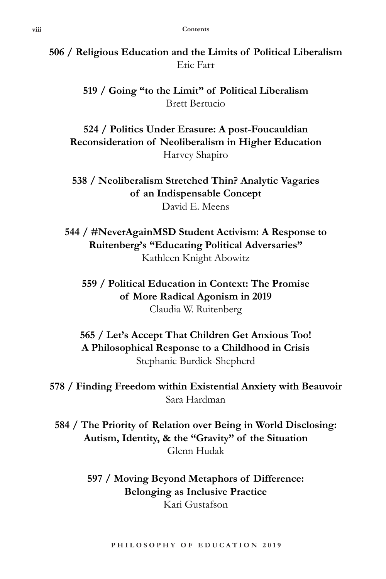**506 / Religious Education and the Limits of Political Liberalism** Eric Farr

> **519 / Going "to the Limit" of Political Liberalism** Brett Bertucio

**524 / Politics Under Erasure: A post-Foucauldian Reconsideration of Neoliberalism in Higher Education** Harvey Shapiro

**538 / Neoliberalism Stretched Thin? Analytic Vagaries of an Indispensable Concept** David E. Meens

**544 / #NeverAgainMSD Student Activism: A Response to Ruitenberg's "Educating Political Adversaries"** Kathleen Knight Abowitz

**559 / Political Education in Context: The Promise of More Radical Agonism in 2019** Claudia W. Ruitenberg

**565 / Let's Accept That Children Get Anxious Too! A Philosophical Response to a Childhood in Crisis** Stephanie Burdick-Shepherd

**578 / Finding Freedom within Existential Anxiety with Beauvoir** Sara Hardman

**584 / The Priority of Relation over Being in World Disclosing: Autism, Identity, & the "Gravity" of the Situation** Glenn Hudak

> **597 / Moving Beyond Metaphors of Difference: Belonging as Inclusive Practice** Kari Gustafson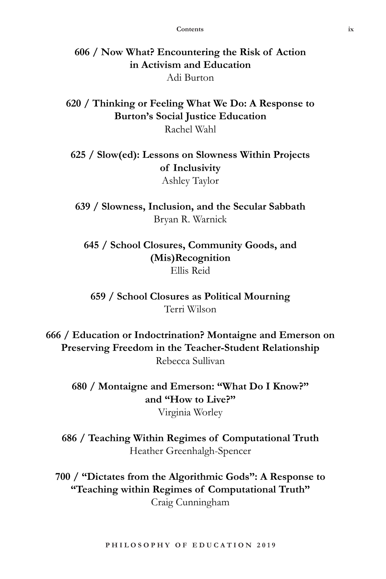**606 / Now What? Encountering the Risk of Action in Activism and Education** Adi Burton

**620 / Thinking or Feeling What We Do: A Response to Burton's Social Justice Education** Rachel Wahl

**625 / Slow(ed): Lessons on Slowness Within Projects of Inclusivity** Ashley Taylor

**639 / Slowness, Inclusion, and the Secular Sabbath** Bryan R. Warnick

**645 / School Closures, Community Goods, and (Mis)Recognition** Ellis Reid

**659 / School Closures as Political Mourning** Terri Wilson

**666 / Education or Indoctrination? Montaigne and Emerson on Preserving Freedom in the Teacher-Student Relationship** Rebecca Sullivan

**680 / Montaigne and Emerson: "What Do I Know?" and "How to Live?"** Virginia Worley

**686 / Teaching Within Regimes of Computational Truth** Heather Greenhalgh-Spencer

**700 / "Dictates from the Algorithmic Gods": A Response to "Teaching within Regimes of Computational Truth"** Craig Cunningham